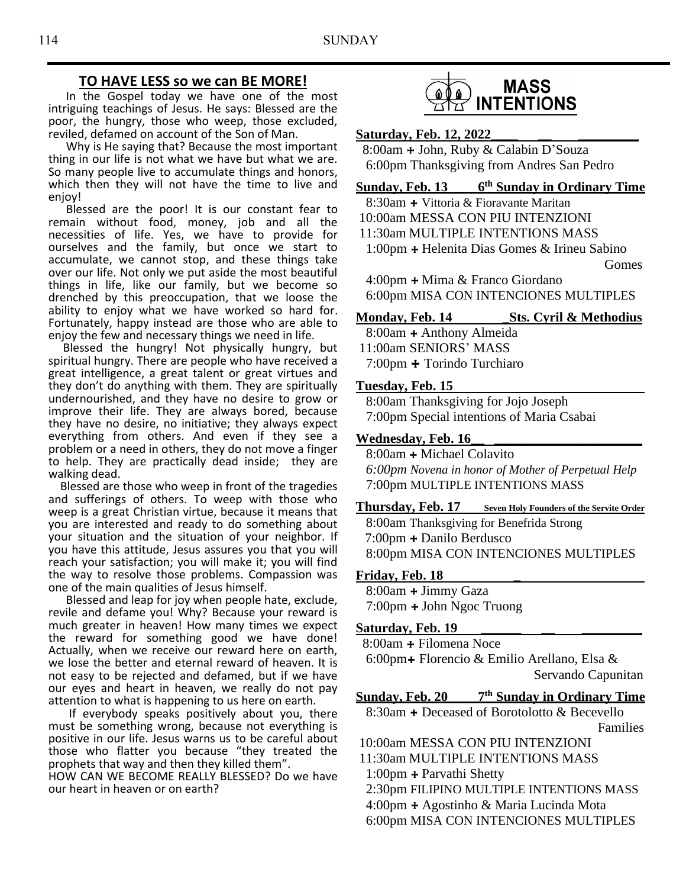## **TO HAVE LESS so we can BE MORE!**

 In the Gospel today we have one of the most intriguing teachings of Jesus. He says: Blessed are the poor, the hungry, those who weep, those excluded, reviled, defamed on account of the Son of Man.

 Why is He saying that? Because the most important thing in our life is not what we have but what we are. So many people live to accumulate things and honors, which then they will not have the time to live and enjoy!

 Blessed are the poor! It is our constant fear to remain without food, money, job and all the necessities of life. Yes, we have to provide for ourselves and the family, but once we start to accumulate, we cannot stop, and these things take over our life. Not only we put aside the most beautiful things in life, like our family, but we become so drenched by this preoccupation, that we loose the ability to enjoy what we have worked so hard for. Fortunately, happy instead are those who are able to enjoy the few and necessary things we need in life.

 Blessed the hungry! Not physically hungry, but spiritual hungry. There are people who have received a great intelligence, a great talent or great virtues and they don't do anything with them. They are spiritually undernourished, and they have no desire to grow or improve their life. They are always bored, because they have no desire, no initiative; they always expect everything from others. And even if they see a problem or a need in others, they do not move a finger to help. They are practically dead inside; they are walking dead.

 Blessed are those who weep in front of the tragedies and sufferings of others. To weep with those who weep is a great Christian virtue, because it means that you are interested and ready to do something about your situation and the situation of your neighbor. If you have this attitude, Jesus assures you that you will reach your satisfaction; you will make it; you will find the way to resolve those problems. Compassion was one of the main qualities of Jesus himself.

 Blessed and leap for joy when people hate, exclude, revile and defame you! Why? Because your reward is much greater in heaven! How many times we expect the reward for something good we have done! Actually, when we receive our reward here on earth, we lose the better and eternal reward of heaven. It is not easy to be rejected and defamed, but if we have our eyes and heart in heaven, we really do not pay attention to what is happening to us here on earth.

 If everybody speaks positively about you, there must be something wrong, because not everything is positive in our life. Jesus warns us to be careful about those who flatter you because "they treated the prophets that way and then they killed them".

HOW CAN WE BECOME REALLY BLESSED? Do we have our heart in heaven or on earth?



#### **Saturday, Feb. 12, 2022\_\_\_\_ \_\_ \_\_\_\_\_\_\_\_\_**

8:00am **+** John, Ruby & Calabin D'Souza 6:00pm Thanksgiving from Andres San Pedro

**Sunday, Feb. 13 6 th Sunday in Ordinary Time**

8:30am **+** Vittoria & Fioravante Maritan 10:00am MESSA CON PIU INTENZIONI

11:30am MULTIPLE INTENTIONS MASS

 1:00pm **+** Helenita Dias Gomes & Irineu Sabino Gomes

 4:00pm **+** Mima & Franco Giordano 6:00pm MISA CON INTENCIONES MULTIPLES

## **Monday, Feb. 14 Sts. Cyril & Methodius**

8:00am **+** Anthony Almeida 11:00am SENIORS' MASS

7:00pm **+** Torindo Turchiaro

#### **Tuesday, Feb. 15**

8:00am Thanksgiving for Jojo Joseph 7:00pm Special intentions of Maria Csabai

### **Wednesday, Feb. 16\_\_ \_\_\_\_\_\_\_\_\_\_\_\_\_\_\_\_\_\_\_\_\_\_**

8:00am **+** Michael Colavito *6:00pm Novena in honor of Mother of Perpetual Help* 7:00pm MULTIPLE INTENTIONS MASS

## **Thursday, Feb. 17 Seven Holy Founders of the Servite Order**

 8:00am Thanksgiving for Benefrida Strong 7:00pm **+** Danilo Berdusco 8:00pm MISA CON INTENCIONES MULTIPLES

#### **Friday, Feb. 18 \_**

8:00am **+** Jimmy Gaza 7:00pm **+** John Ngoc Truong

### Saturday, Feb. 19

8:00am **+** Filomena Noce 6:00pm**+** Florencio & Emilio Arellano, Elsa & Servando Capunitan

#### **Sunday, Feb. 20 7 th Sunday in Ordinary Time**

8:30am **+** Deceased of Borotolotto & Becevello Families

10:00am MESSA CON PIU INTENZIONI 11:30am MULTIPLE INTENTIONS MASS 1:00pm **+** Parvathi Shetty 2:30pm FILIPINO MULTIPLE INTENTIONS MASS

 4:00pm **+** Agostinho & Maria Lucinda Mota 6:00pm MISA CON INTENCIONES MULTIPLES